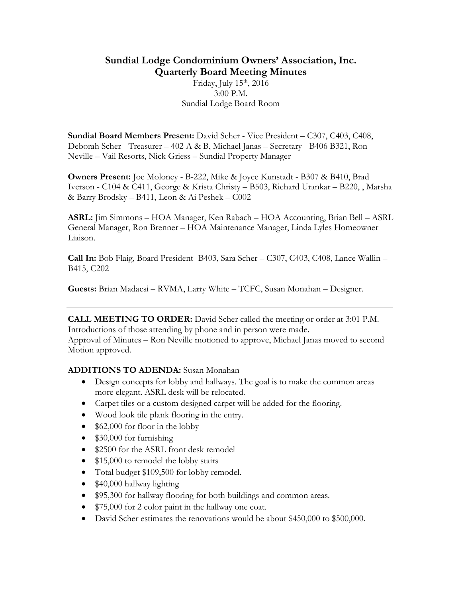# **Sundial Lodge Condominium Owners' Association, Inc. Quarterly Board Meeting Minutes**

Friday, July 15<sup>th</sup>, 2016 3:00 P.M. Sundial Lodge Board Room

**Sundial Board Members Present:** David Scher - Vice President – C307, C403, C408, Deborah Scher - Treasurer – 402 A & B, Michael Janas – Secretary - B406 B321, Ron Neville – Vail Resorts, Nick Griess – Sundial Property Manager

**Owners Present:** Joe Moloney - B-222, Mike & Joyce Kunstadt - B307 & B410, Brad Iverson - C104 & C411, George & Krista Christy – B503, Richard Urankar – B220, , Marsha & Barry Brodsky – B411, Leon & Ai Peshek – C002

**ASRL:** Jim Simmons – HOA Manager, Ken Rabach – HOA Accounting, Brian Bell – ASRL General Manager, Ron Brenner – HOA Maintenance Manager, Linda Lyles Homeowner Liaison.

**Call In:** Bob Flaig, Board President -B403, Sara Scher – C307, C403, C408, Lance Wallin – B415, C202

**Guests:** Brian Madacsi – RVMA, Larry White – TCFC, Susan Monahan – Designer.

**CALL MEETING TO ORDER:** David Scher called the meeting or order at 3:01 P.M. Introductions of those attending by phone and in person were made.

Approval of Minutes – Ron Neville motioned to approve, Michael Janas moved to second Motion approved.

#### **ADDITIONS TO ADENDA:** Susan Monahan

- Design concepts for lobby and hallways. The goal is to make the common areas more elegant. ASRL desk will be relocated.
- Carpet tiles or a custom designed carpet will be added for the flooring.
- Wood look tile plank flooring in the entry.
- \$62,000 for floor in the lobby
- \$30,000 for furnishing
- \$2500 for the ASRL front desk remodel
- \$15,000 to remodel the lobby stairs
- Total budget \$109,500 for lobby remodel.
- \$40,000 hallway lighting
- \$95,300 for hallway flooring for both buildings and common areas.
- \$75,000 for 2 color paint in the hallway one coat.
- David Scher estimates the renovations would be about \$450,000 to \$500,000.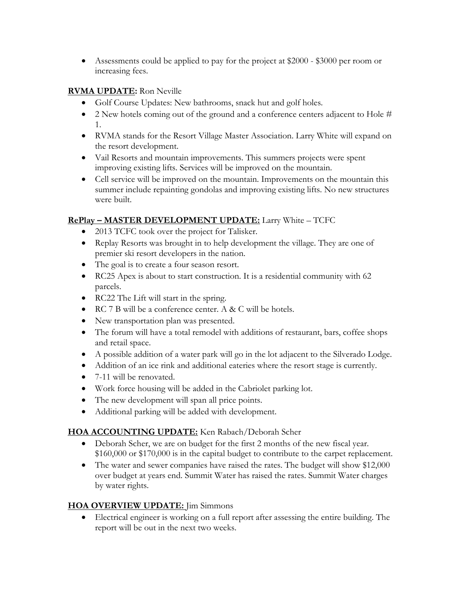• Assessments could be applied to pay for the project at \$2000 - \$3000 per room or increasing fees.

### **RVMA UPDATE:** Ron Neville

- Golf Course Updates: New bathrooms, snack hut and golf holes.
- 2 New hotels coming out of the ground and a conference centers adjacent to Hole # 1.
- RVMA stands for the Resort Village Master Association. Larry White will expand on the resort development.
- Vail Resorts and mountain improvements. This summers projects were spent improving existing lifts. Services will be improved on the mountain.
- Cell service will be improved on the mountain. Improvements on the mountain this summer include repainting gondolas and improving existing lifts. No new structures were built.

## **RePlay – MASTER DEVELOPMENT UPDATE:** Larry White – TCFC

- 2013 TCFC took over the project for Talisker.
- Replay Resorts was brought in to help development the village. They are one of premier ski resort developers in the nation.
- The goal is to create a four season resort.
- RC25 Apex is about to start construction. It is a residential community with 62 parcels.
- RC22 The Lift will start in the spring.
- RC 7 B will be a conference center. A & C will be hotels.
- New transportation plan was presented.
- The forum will have a total remodel with additions of restaurant, bars, coffee shops and retail space.
- A possible addition of a water park will go in the lot adjacent to the Silverado Lodge.
- Addition of an ice rink and additional eateries where the resort stage is currently.
- 7-11 will be renovated.
- Work force housing will be added in the Cabriolet parking lot.
- The new development will span all price points.
- Additional parking will be added with development.

#### **HOA ACCOUNTING UPDATE:** Ken Rabach/Deborah Scher

- Deborah Scher, we are on budget for the first 2 months of the new fiscal year. \$160,000 or \$170,000 is in the capital budget to contribute to the carpet replacement.
- The water and sewer companies have raised the rates. The budget will show \$12,000 over budget at years end. Summit Water has raised the rates. Summit Water charges by water rights.

#### **HOA OVERVIEW UPDATE:** Jim Simmons

• Electrical engineer is working on a full report after assessing the entire building. The report will be out in the next two weeks.